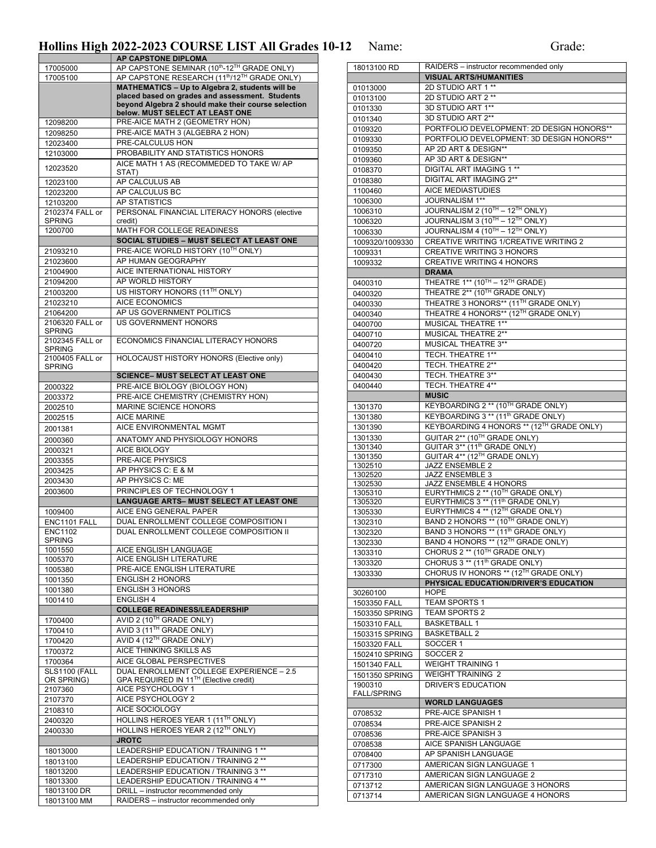## Hollins High 2022-2023 COURSE LIST All Grades 10-12 Name: Grade:

|                                    | AP CAPSTONE DIPLOMA                                                          |
|------------------------------------|------------------------------------------------------------------------------|
| 17005000                           | AP CAPSTONE SEMINAR (10th-12TH GRADE ONLY)                                   |
| 17005100                           | AP CAPSTONE RESEARCH (11 <sup>th</sup> /12 <sup>TH</sup> GRADE ONLY)         |
|                                    | MATHEMATICS - Up to Algebra 2, students will be                              |
|                                    | placed based on grades and assessment. Students                              |
|                                    | beyond Algebra 2 should make their course selection                          |
|                                    | below. MUST SELECT AT LEAST ONE                                              |
| 12098200                           | PRE-AICE MATH 2 (GEOMETRY HON)                                               |
| 12098250                           | PRE-AICE MATH 3 (ALGEBRA 2 HON)                                              |
| 12023400                           | PRE-CALCULUS HON                                                             |
| 12103000                           | PROBABILITY AND STATISTICS HONORS                                            |
| 12023520                           | AICE MATH 1 AS (RECOMMEDED TO TAKE W/ AP                                     |
|                                    | STAT)                                                                        |
| 12023100                           | AP CALCULUS AB                                                               |
| 12023200                           | AP CALCULUS BC                                                               |
| 12103200                           | AP STATISTICS                                                                |
| 2102374 FALL or                    | PERSONAL FINANCIAL LITERACY HONORS (elective                                 |
| <b>SPRING</b>                      | credit)                                                                      |
| 1200700                            | MATH FOR COLLEGE READINESS                                                   |
|                                    | SOCIAL STUDIES - MUST SELECT AT LEAST ONE                                    |
| 21093210                           | PRE-AICE WORLD HISTORY (10TH ONLY)                                           |
| 21023600                           | AP HUMAN GEOGRAPHY                                                           |
| 21004900                           | AICE INTERNATIONAL HISTORY                                                   |
| 21094200                           | AP WORLD HISTORY                                                             |
| 21003200                           | US HISTORY HONORS (11 <sup>TH</sup> ONLY)                                    |
| 21023210                           | AICE ECONOMICS                                                               |
| 21064200                           | AP US GOVERNMENT POLITICS                                                    |
| 2106320 FALL or                    | <b>US GOVERNMENT HONORS</b>                                                  |
| <b>SPRING</b>                      |                                                                              |
| 2102345 FALL or                    | ECONOMICS FINANCIAL LITERACY HONORS                                          |
| <b>SPRING</b>                      |                                                                              |
| 2100405 FALL or                    | HOLOCAUST HISTORY HONORS (Elective only)                                     |
| <b>SPRING</b>                      |                                                                              |
|                                    | <b>SCIENCE- MUST SELECT AT LEAST ONE</b>                                     |
| 2000322                            | PRE-AICE BIOLOGY (BIOLOGY HON)                                               |
| 2003372                            | PRE-AICE CHEMISTRY (CHEMISTRY HON)                                           |
| 2002510                            | <b>MARINE SCIENCE HONORS</b>                                                 |
| 2002515                            | <b>AICE MARINE</b>                                                           |
| 2001381                            | AICE ENVIRONMENTAL MGMT                                                      |
|                                    | ANATOMY AND PHYSIOLOGY HONORS                                                |
| 2000360                            |                                                                              |
| 2000321                            | AICE BIOLOGY                                                                 |
| 2003355                            | PRE-AICE PHYSICS                                                             |
| 2003425                            | AP PHYSICS C: E & M                                                          |
| 2003430                            | AP PHYSICS C: ME                                                             |
| 2003600                            | PRINCIPLES OF TECHNOLOGY 1                                                   |
|                                    | LANGUAGE ARTS- MUST SELECT AT LEAST ONE                                      |
| 1009400                            | AICE ENG GENERAL PAPER                                                       |
| ENC1101 FALL                       | DUAL ENROLLMENT COLLEGE COMPOSITION I                                        |
| <b>FNC1102</b>                     | DUAL ENROLLMENT COLLEGE COMPOSITION II                                       |
| <b>SPRING</b>                      |                                                                              |
| 1001550                            | AICE ENGLISH LANGUAGE                                                        |
| 1005370                            | AICE ENGLISH LITERATURE                                                      |
| 1005380                            | PRE-AICE ENGLISH LITERATURE                                                  |
| 1001350                            | <b>ENGLISH 2 HONORS</b>                                                      |
| 1001380                            | <b>ENGLISH 3 HONORS</b>                                                      |
| 1001410                            | <b>ENGLISH 4</b>                                                             |
|                                    | <b>COLLEGE READINESS/LEADERSHIP</b>                                          |
| 1700400                            | AVID 2 (10TH GRADE ONLY)                                                     |
|                                    |                                                                              |
| 1700410                            | AVID 3 (11 <sup>TH</sup> GRADE ONLY)                                         |
| 1700420                            |                                                                              |
| 1700372                            | AVID 4 (12TH GRADE ONLY)<br>AICE THINKING SKILLS AS                          |
|                                    | AICE GLOBAL PERSPECTIVES                                                     |
| 1700364                            |                                                                              |
| <b>SLS1100 (FALL</b><br>OR SPRING) | DUAL ENROLLMENT COLLEGE EXPERIENCE - 2.5                                     |
| 2107360                            | GPA REQUIRED IN 11TH (Elective credit)<br>AICE PSYCHOLOGY 1                  |
|                                    | AICE PSYCHOLOGY 2                                                            |
| 2107370                            | AICE SOCIOLOGY                                                               |
| 2108310                            |                                                                              |
| 2400320                            | HOLLINS HEROES YEAR 1 (11 <sup>TH</sup> ONLY)                                |
| 2400330                            | HOLLINS HEROES YEAR 2 (12TH ONLY)                                            |
|                                    | <b>JROTC</b>                                                                 |
| 18013000                           | LEADERSHIP EDUCATION / TRAINING 1 **                                         |
| 18013100                           | LEADERSHIP EDUCATION / TRAINING 2 **                                         |
| 18013200                           | LEADERSHIP EDUCATION / TRAINING 3 **                                         |
| 18013300                           | LEADERSHIP EDUCATION / TRAINING 4 **                                         |
| 18013100 DR<br>18013100 MM         | DRILL - instructor recommended only<br>RAIDERS - instructor recommended only |

| 18013100 RD        | RAIDERS - instructor recommended only                                  |
|--------------------|------------------------------------------------------------------------|
|                    | <b>VISUAL ARTS/HUMANITIES</b>                                          |
| 01013000           | 2D STUDIO ART 1 **                                                     |
| 01013100           | 2D STUDIO ART 2 **                                                     |
| 0101330            | 3D STUDIO ART 1**                                                      |
| 0101340            | 3D STUDIO ART 2**                                                      |
| 0109320            | PORTFOLIO DEVELOPMENT: 2D DESIGN HONORS**                              |
| 0109330            | PORTFOLIO DEVELOPMENT: 3D DESIGN HONORS**                              |
| 0109350            | AP 2D ART & DESIGN**                                                   |
| 0109360            | AP 3D ART & DESIGN**                                                   |
| 0108370            | DIGITAL ART IMAGING 1 **                                               |
| 0108380            | <b>DIGITAL ART IMAGING 2**</b>                                         |
| 1100460            | AICE MEDIASTUDIES                                                      |
| 1006300            | JOURNALISM 1**                                                         |
| 1006310            | JOURNALISM 2 (10 <sup>TH</sup> – 12 <sup>TH</sup> ONLY)                |
| 1006320            | JOURNALISM 3 (10TH - 12TH ONLY)                                        |
| 1006330            | JOURNALISM 4 (10TH - 12TH ONLY)                                        |
| 1009320/1009330    | <b>CREATIVE WRITING 1/CREATIVE WRITING 2</b>                           |
| 1009331            | <b>CREATIVE WRITING 3 HONORS</b>                                       |
| 1009332            | <b>CREATIVE WRITING 4 HONORS</b>                                       |
|                    | <b>DRAMA</b>                                                           |
| 0400310            | THEATRE 1** (10TH - 12TH GRADE)                                        |
| 0400320            | THEATRE 2** (10TH GRADE ONLY)                                          |
| 0400330            | THEATRE 3 HONORS** (11TH GRADE ONLY)                                   |
| 0400340            | THEATRE 4 HONORS** (12TH GRADE ONLY)                                   |
| 0400700            | MUSICAL THEATRE 1**                                                    |
| 0400710            | MUSICAL THEATRE 2**                                                    |
| 0400720            | MUSICAL THEATRE 3**                                                    |
| 0400410            | TECH. THEATRE 1**                                                      |
| 0400420            | TECH. THEATRE 2**                                                      |
| 0400430            | TECH. THEATRE 3**                                                      |
| 0400440            | TECH. THEATRE 4**                                                      |
|                    | <b>MUSIC</b>                                                           |
| 1301370            | KEYBOARDING 2 ** (10TH GRADE ONLY)                                     |
| 1301380            | KEYBOARDING 3 ** (11th GRADE ONLY)                                     |
| 1301390            | KEYBOARDING 4 HONORS ** (12TH GRADE ONLY)                              |
| 1301330            | GUITAR 2** (10TH GRADE ONLY)                                           |
| 1301340            | GUITAR 3** (11 <sup>th</sup> GRADE ONLY)                               |
| 1301350            | GUITAR 4** (12TH GRADE ONLY)                                           |
| 1302510            | JAZZ ENSEMBLE 2                                                        |
| 1302520            | JAZZ ENSEMBLE 3                                                        |
| 1302530            | JAZZ ENSEMBLE 4 HONORS                                                 |
| 1305310            | EURYTHMICS 2 ** (10TH GRADE ONLY)<br>EURYTHMICS 3 ** (11th GRADE ONLY) |
| 1305320<br>1305330 | EURYTHMICS 4 ** (12TH GRADE ONLY)                                      |
| 1302310            | BAND 2 HONORS ** (10TH GRADE ONLY)                                     |
| 1302320            | BAND 3 HONORS ** (11 <sup>th</sup> GRADE ONLY)                         |
| 1302330            | BAND 4 HONORS ** (12TH GRADE ONLY)                                     |
| 1303310            | CHORUS 2 ** (10TH GRADE ONLY)                                          |
|                    | CHORUS 3 ** (11 <sup>th</sup> GRADE ONLY)                              |
| 1303320<br>1303330 | CHORUS IV HONORS ** (12TH GRADE ONLY)                                  |
|                    | PHYSICAL EDUCATION/DRIVER'S EDUCATION                                  |
| 30260100           | <b>HOPE</b>                                                            |
| 1503350 FALL       | TEAM SPORTS 1                                                          |
| 1503350 SPRING     | <b>TEAM SPORTS 2</b>                                                   |
| 1503310 FALL       | <b>BASKETBALL 1</b>                                                    |
| 1503315 SPRING     | <b>BASKETBALL 2</b>                                                    |
| 1503320 FALL       | SOCCER <sub>1</sub>                                                    |
| 1502410 SPRING     | SOCCER 2                                                               |
| 1501340 FALL       | <b>WEIGHT TRAINING 1</b>                                               |
| 1501350 SPRING     | <b>WEIGHT TRAINING 2</b>                                               |
| 1900310            | DRIVER'S EDUCATION                                                     |
| <b>FALL/SPRING</b> |                                                                        |
|                    | <b>WORLD LANGUAGES</b>                                                 |
| 0708532            | PRE-AICE SPANISH 1                                                     |
| 0708534            | PRE-AICE SPANISH 2                                                     |
| 0708536            | PRE-AICE SPANISH 3                                                     |
| 0708538            | AICE SPANISH LANGUAGE                                                  |
| 0708400            | AP SPANISH LANGUAGE                                                    |
| 0717300            | AMERICAN SIGN LANGUAGE 1                                               |
| 0717310            | AMERICAN SIGN LANGUAGE 2                                               |
| 0713712            | AMERICAN SIGN LANGUAGE 3 HONORS                                        |
| 0713714            | AMERICAN SIGN LANGUAGE 4 HONORS                                        |